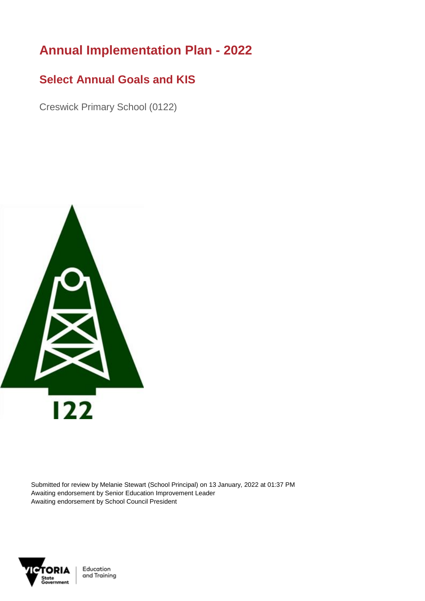## **Annual Implementation Plan - 2022**

## **Select Annual Goals and KIS**

Creswick Primary School (0122)



Submitted for review by Melanie Stewart (School Principal) on 13 January, 2022 at 01:37 PM Awaiting endorsement by Senior Education Improvement Leader Awaiting endorsement by School Council President



Education and Training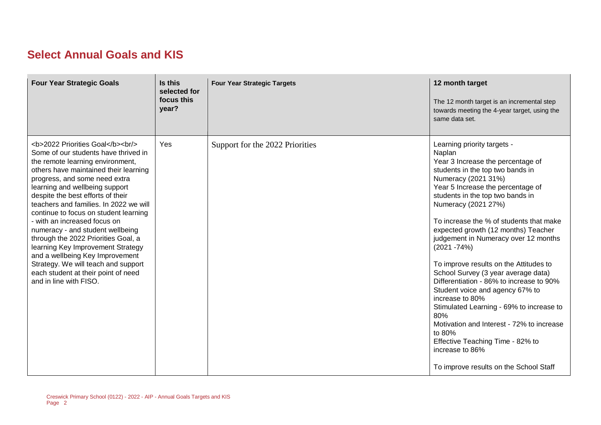## **Select Annual Goals and KIS**

| <b>Four Year Strategic Goals</b>                                                                                                                                                              | Is this<br>selected for<br>focus this<br>year? | <b>Four Year Strategic Targets</b> | 12 month target<br>The 12 month target is an incremental step<br>towards meeting the 4-year target, using the<br>same data set.                                                                                                                                                                                                                                                                                                                                                                                                                                                                                                                                                                                                                                                 |
|-----------------------------------------------------------------------------------------------------------------------------------------------------------------------------------------------|------------------------------------------------|------------------------------------|---------------------------------------------------------------------------------------------------------------------------------------------------------------------------------------------------------------------------------------------------------------------------------------------------------------------------------------------------------------------------------------------------------------------------------------------------------------------------------------------------------------------------------------------------------------------------------------------------------------------------------------------------------------------------------------------------------------------------------------------------------------------------------|
| <b>2022 Priorities Goal</b><br><br><br>Some of our students have thrived in<br>the remote learning environment,<br>others have maintained their learning<br>progress, and some need extra<br> | <b>Yes</b>                                     | Support for the 2022 Priorities    | Learning priority targets -<br>Naplan<br>Year 3 Increase the percentage of<br>students in the top two bands in<br>Numeracy (2021 31%)<br>Year 5 Increase the percentage of<br>students in the top two bands in<br>Numeracy (2021 27%)<br>To increase the % of students that make<br>expected growth (12 months) Teacher<br>judgement in Numeracy over 12 months<br>$(2021 - 74%)$<br>To improve results on the Attitudes to<br>School Survey (3 year average data)<br>Differentiation - 86% to increase to 90%<br>Student voice and agency 67% to<br>increase to 80%<br>Stimulated Learning - 69% to increase to<br>80%<br>Motivation and Interest - 72% to increase<br>to 80%<br>Effective Teaching Time - 82% to<br>increase to 86%<br>To improve results on the School Staff |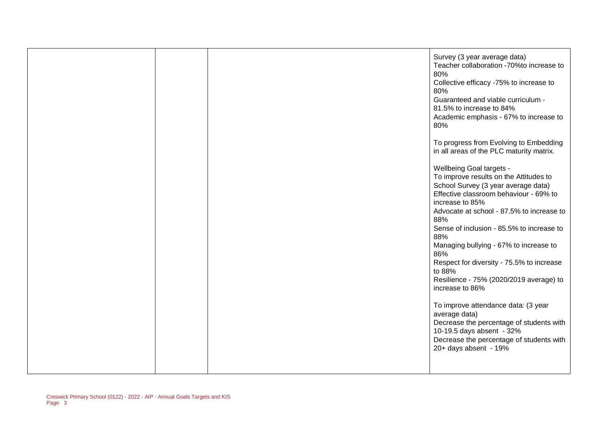|  | Survey (3 year average data)<br>Teacher collaboration -70%to increase to<br>80%<br>Collective efficacy -75% to increase to<br>80%<br>Guaranteed and viable curriculum -<br>81.5% to increase to 84%<br>Academic emphasis - 67% to increase to<br>80%<br>To progress from Evolving to Embedding |
|--|------------------------------------------------------------------------------------------------------------------------------------------------------------------------------------------------------------------------------------------------------------------------------------------------|
|  | in all areas of the PLC maturity matrix.<br>Wellbeing Goal targets -<br>To improve results on the Attitudes to<br>School Survey (3 year average data)<br>Effective classroom behaviour - 69% to<br>increase to 85%                                                                             |
|  | Advocate at school - 87.5% to increase to<br>88%<br>Sense of inclusion - 85.5% to increase to<br>88%<br>Managing bullying - 67% to increase to                                                                                                                                                 |
|  | 86%<br>Respect for diversity - 75.5% to increase<br>to 88%<br>Resilience - 75% (2020/2019 average) to<br>increase to 86%                                                                                                                                                                       |
|  | To improve attendance data: (3 year<br>average data)<br>Decrease the percentage of students with<br>10-19.5 days absent - 32%<br>Decrease the percentage of students with<br>20+ days absent - 19%                                                                                             |
|  |                                                                                                                                                                                                                                                                                                |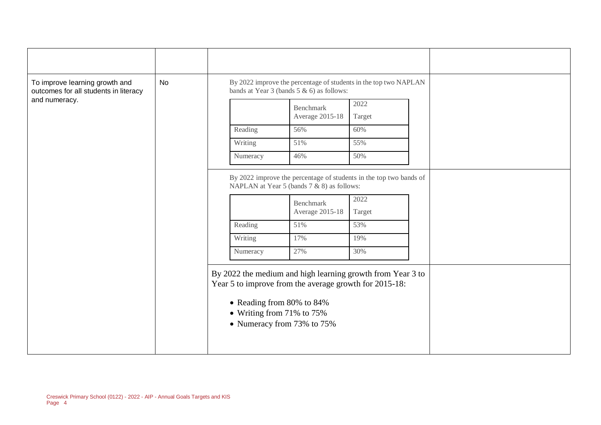| To improve learning growth and<br>outcomes for all students in literacy<br>and numeracy. | No |                                | By 2022 improve the percentage of students in the top two NAPLAN<br>bands at Year 3 (bands $5 & 6$ ) as follows:                                                                                               |                                     |  |  |
|------------------------------------------------------------------------------------------|----|--------------------------------|----------------------------------------------------------------------------------------------------------------------------------------------------------------------------------------------------------------|-------------------------------------|--|--|
|                                                                                          |    |                                | Benchmark<br>Average 2015-18                                                                                                                                                                                   | 2022<br>Target                      |  |  |
|                                                                                          |    | Reading                        | 56%                                                                                                                                                                                                            | 60%                                 |  |  |
|                                                                                          |    | Writing                        | 51%                                                                                                                                                                                                            | 55%                                 |  |  |
|                                                                                          |    | Numeracy                       | 46%                                                                                                                                                                                                            | 50%                                 |  |  |
|                                                                                          |    | Reading<br>Writing<br>Numeracy | By 2022 improve the percentage of students in the top two bands of<br>NAPLAN at Year 5 (bands 7 & 8) as follows:<br>Benchmark<br>Average 2015-18<br>51%<br>17%<br>27%                                          | 2022<br>Target<br>53%<br>19%<br>30% |  |  |
|                                                                                          |    |                                | By 2022 the medium and high learning growth from Year 3 to<br>Year 5 to improve from the average growth for 2015-18:<br>• Reading from 80% to 84%<br>• Writing from 71% to $75%$<br>• Numeracy from 73% to 75% |                                     |  |  |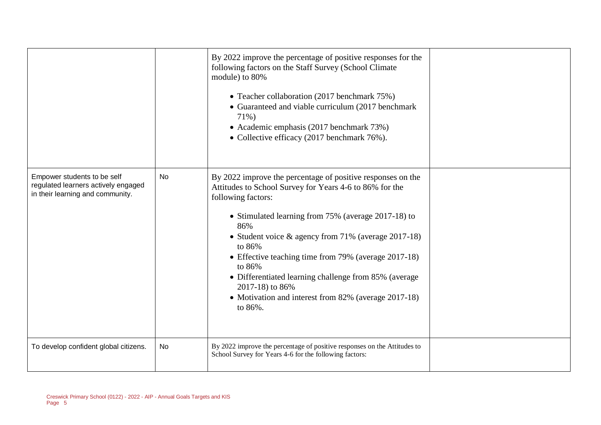|                                                                                                        |           | By 2022 improve the percentage of positive responses for the<br>following factors on the Staff Survey (School Climate<br>module) to 80%<br>• Teacher collaboration (2017 benchmark 75%)<br>• Guaranteed and viable curriculum (2017 benchmark<br>71%)<br>• Academic emphasis (2017 benchmark 73%)<br>• Collective efficacy (2017 benchmark 76%).                                                                                                                                                |  |
|--------------------------------------------------------------------------------------------------------|-----------|-------------------------------------------------------------------------------------------------------------------------------------------------------------------------------------------------------------------------------------------------------------------------------------------------------------------------------------------------------------------------------------------------------------------------------------------------------------------------------------------------|--|
| Empower students to be self<br>regulated learners actively engaged<br>in their learning and community. | <b>No</b> | By 2022 improve the percentage of positive responses on the<br>Attitudes to School Survey for Years 4-6 to 86% for the<br>following factors:<br>• Stimulated learning from 75% (average 2017-18) to<br>86%<br>• Student voice $\&$ agency from 71% (average 2017-18)<br>to 86%<br>• Effective teaching time from 79% (average 2017-18)<br>to 86%<br>• Differentiated learning challenge from 85% (average<br>2017-18) to 86%<br>• Motivation and interest from 82% (average 2017-18)<br>to 86%. |  |
| To develop confident global citizens.                                                                  | <b>No</b> | By 2022 improve the percentage of positive responses on the Attitudes to<br>School Survey for Years 4-6 for the following factors:                                                                                                                                                                                                                                                                                                                                                              |  |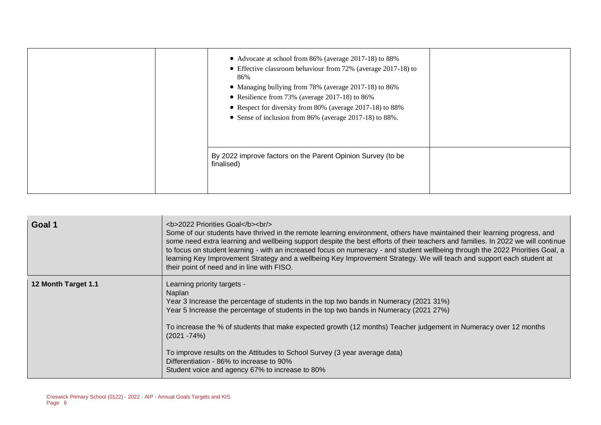| • Advocate at school from 86% (average 2017-18) to 88%<br>• Effective classroom behaviour from 72% (average 2017-18) to<br>86%<br>• Managing bullying from 78% (average 2017-18) to 86%<br>• Resilience from 73% (average 2017-18) to 86%<br>• Respect for diversity from 80% (average 2017-18) to 88%<br>• Sense of inclusion from 86% (average 2017-18) to 88%. |  |
|-------------------------------------------------------------------------------------------------------------------------------------------------------------------------------------------------------------------------------------------------------------------------------------------------------------------------------------------------------------------|--|
| By 2022 improve factors on the Parent Opinion Survey (to be<br>finalised)                                                                                                                                                                                                                                                                                         |  |

| Goal 1              | <b>2022 Priorities Goal</b><br><br><br>Some of our students have thrived in the remote learning environment, others have maintained their learning progress, and<br>some need extra learning and wellbeing support despite the best efforts of their teachers and families. In 2022 we will continue<br>to focus on student learning - with an increased focus on numeracy - and student wellbeing through the 2022 Priorities Goal, a<br>learning Key Improvement Strategy and a wellbeing Key Improvement Strategy. We will teach and support each student at<br>their point of need and in line with FISO. |
|---------------------|---------------------------------------------------------------------------------------------------------------------------------------------------------------------------------------------------------------------------------------------------------------------------------------------------------------------------------------------------------------------------------------------------------------------------------------------------------------------------------------------------------------------------------------------------------------------------------------------------------------|
| 12 Month Target 1.1 | Learning priority targets -<br>Naplan<br>Year 3 Increase the percentage of students in the top two bands in Numeracy (2021 31%)<br>Year 5 Increase the percentage of students in the top two bands in Numeracy (2021 27%)<br>To increase the % of students that make expected growth (12 months) Teacher judgement in Numeracy over 12 months<br>(2021 -74%)<br>To improve results on the Attitudes to School Survey (3 year average data)<br>Differentiation - 86% to increase to 90%<br>Student voice and agency 67% to increase to 80%                                                                     |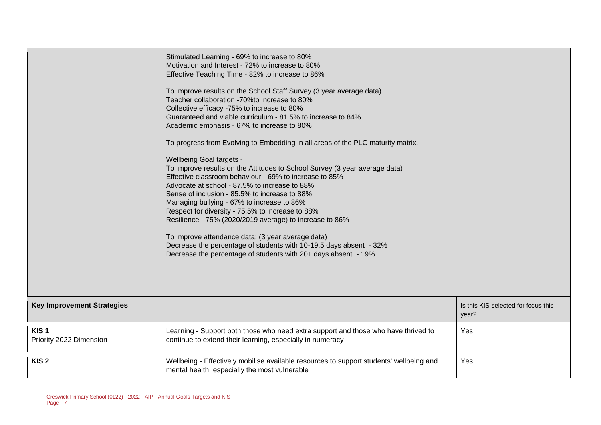|                                             | Stimulated Learning - 69% to increase to 80%<br>Motivation and Interest - 72% to increase to 80%<br>Effective Teaching Time - 82% to increase to 86%<br>To improve results on the School Staff Survey (3 year average data)<br>Teacher collaboration -70% to increase to 80%<br>Collective efficacy -75% to increase to 80%<br>Guaranteed and viable curriculum - 81.5% to increase to 84%<br>Academic emphasis - 67% to increase to 80%<br>To progress from Evolving to Embedding in all areas of the PLC maturity matrix.<br>Wellbeing Goal targets -<br>To improve results on the Attitudes to School Survey (3 year average data)<br>Effective classroom behaviour - 69% to increase to 85%<br>Advocate at school - 87.5% to increase to 88%<br>Sense of inclusion - 85.5% to increase to 88%<br>Managing bullying - 67% to increase to 86%<br>Respect for diversity - 75.5% to increase to 88%<br>Resilience - 75% (2020/2019 average) to increase to 86%<br>To improve attendance data: (3 year average data)<br>Decrease the percentage of students with 10-19.5 days absent - 32%<br>Decrease the percentage of students with 20+ days absent - 19% |                                              |
|---------------------------------------------|-------------------------------------------------------------------------------------------------------------------------------------------------------------------------------------------------------------------------------------------------------------------------------------------------------------------------------------------------------------------------------------------------------------------------------------------------------------------------------------------------------------------------------------------------------------------------------------------------------------------------------------------------------------------------------------------------------------------------------------------------------------------------------------------------------------------------------------------------------------------------------------------------------------------------------------------------------------------------------------------------------------------------------------------------------------------------------------------------------------------------------------------------------------|----------------------------------------------|
| <b>Key Improvement Strategies</b>           |                                                                                                                                                                                                                                                                                                                                                                                                                                                                                                                                                                                                                                                                                                                                                                                                                                                                                                                                                                                                                                                                                                                                                             | Is this KIS selected for focus this<br>year? |
| KIS <sub>1</sub><br>Priority 2022 Dimension | Learning - Support both those who need extra support and those who have thrived to<br>continue to extend their learning, especially in numeracy                                                                                                                                                                                                                                                                                                                                                                                                                                                                                                                                                                                                                                                                                                                                                                                                                                                                                                                                                                                                             | Yes                                          |
| KIS <sub>2</sub>                            | Wellbeing - Effectively mobilise available resources to support students' wellbeing and<br>mental health, especially the most vulnerable                                                                                                                                                                                                                                                                                                                                                                                                                                                                                                                                                                                                                                                                                                                                                                                                                                                                                                                                                                                                                    | Yes                                          |